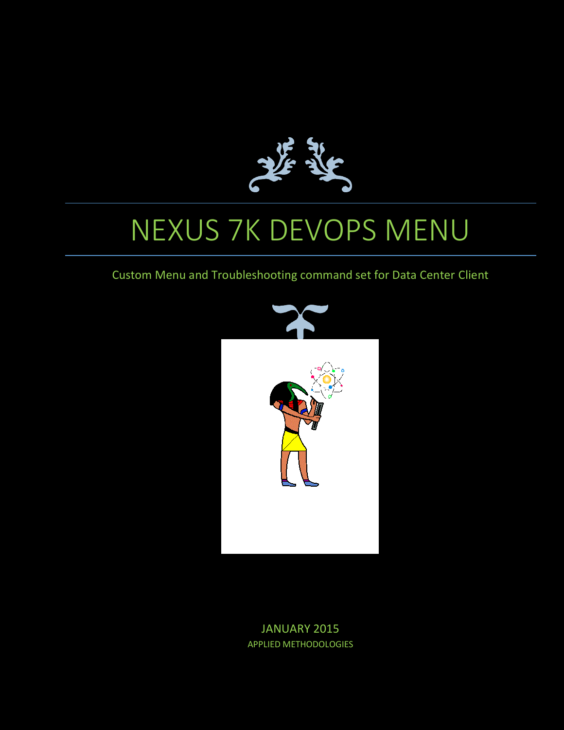

# NEXUS 7K DEVOPS MENU

### Custom Menu and Troubleshooting command set for Data Center Client



JANUARY 2015 APPLIED METHODOLOGIES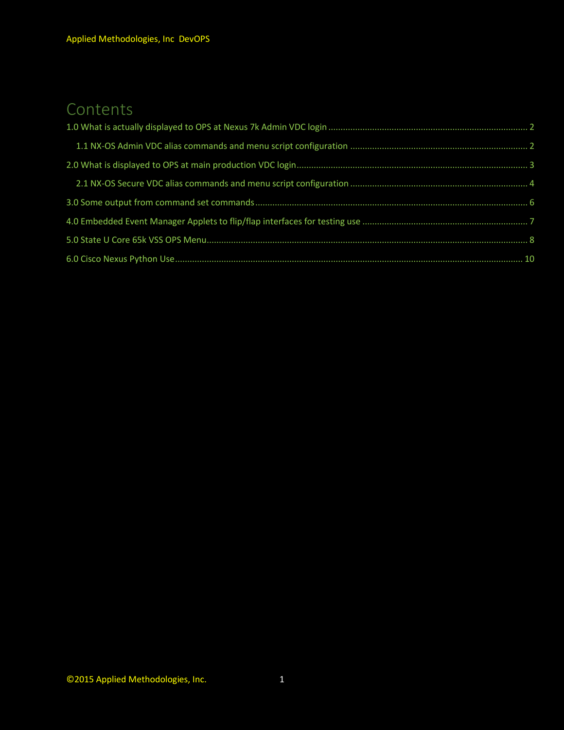# Contents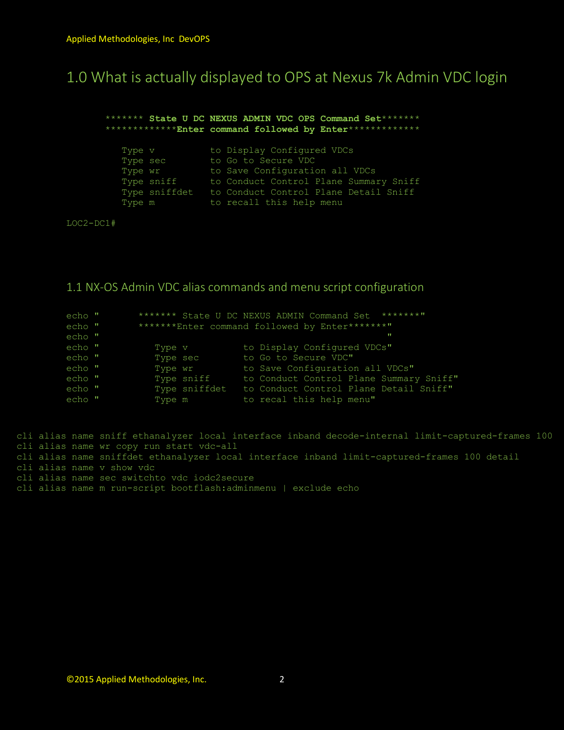### <span id="page-2-0"></span>1.0 What is actually displayed to OPS at Nexus 7k Admin VDC login

 \*\*\*\*\*\*\* **State U DC NEXUS ADMIN VDC OPS Command Set**\*\*\*\*\*\*\* \*\*\*\*\*\*\*\*\*\*\*\*\***Enter command followed by Enter**\*\*\*\*\*\*\*\*\*\*\*\*\* Type v bo Display Configured VDCs Type sec bo Go to Secure VDC Type wr **to Save Configuration all VDCs**  Type sniff to Conduct Control Plane Summary Sniff Type sniffdet to Conduct Control Plane Detail Sniff Type m to recall this help menu

LOC2-DC1#

<span id="page-2-1"></span>1.1 NX-OS Admin VDC alias commands and menu script configuration

| echo " |          |               | ********<br>******* State U DC NEXUS ADMIN Command Set |
|--------|----------|---------------|--------------------------------------------------------|
| echo " |          |               | *******Enter command followed by Enter*******"         |
| echo " |          |               | п                                                      |
| echo " | Type v   |               | to Display Configured VDCs"                            |
| echo " | Type sec |               | to Go to Secure VDC"                                   |
| echo " | Type wr  |               | to Save Configuration all VDCs"                        |
| echo " |          | Type sniff    | to Conduct Control Plane Summary Sniff"                |
| echo " |          | Type sniffdet | to Conduct Control Plane Detail Sniff"                 |
| echo " | Type m   |               | to recal this help menu"                               |

cli alias name sniff ethanalyzer local interface inband decode-internal limit-captured-frames 100 cli alias name wr copy run start vdc-all cli alias name sniffdet ethanalyzer local interface inband limit-captured-frames 100 detail cli alias name v show vdc cli alias name sec switchto vdc iodc2secure cli alias name m run-script bootflash:adminmenu | exclude echo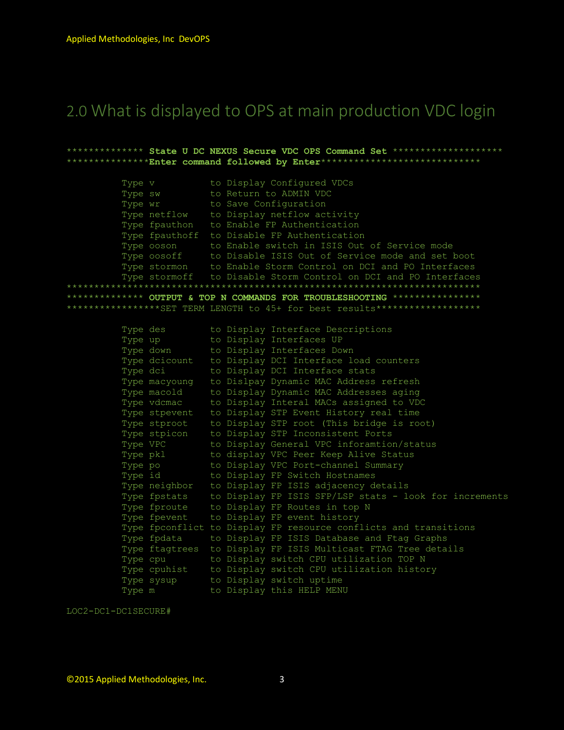# <span id="page-3-0"></span>2.0 What is displayed to OPS at main production VDC login

\*\*\*\*\*\*\*\*\*\*\*\*\*\* State U DC NEXUS Secure VDC OPS Command Set \*\*\*\*\*\*\*\*\*\*\*\*\*\*\* \*\*\*\*\*\*\*\*\*\*\*\*\*\*\*<mark>Enter command followed by Enter</mark>\*\*\*\*\*\*\*\*\*\*\*\*\*\*\*\*\*\*\*\*\*\*\*\*\*\*\*\*\*\*\* Type v<br>
to Display Configured VDCs<br>
Type sw<br>
to Return to ADMIN VDC<br>
Type wr<br>
to Save Configuration<br>
Type netflow<br>
to Display netflow activity<br>
Type fpauthon<br>
to Enable FP Authentication<br>
The figure for the Save Constant o Type fpauthoff to Disable FP Authentication Type r<sub>p</sub>adencial constants in nationalisation.<br>Type obsorb to Enable switch in ISIS Out of Service mode<br>Type obsoff to Disable ISIS Out of Service mode and set boot<br>Type stormon to Enable Storm Control on DCI and PO Inter \*\*\*\*\*\*\*\*\*\*\*\*\*\* OUTPUT & TOP N COMMANDS FOR TROUBLESHOOTING \*\*\*\*\*\*\*\*\*\*\*\*\*\*\*\* \*\*\*\*\*\*\*\*\*\*\*\*\*\*\*\*\*SET TERM LENGTH to 45+ for best results\*\*\*\*\*\*\*\*\*\*\*\*\*\*\*\*\*\*\*\*

| Type des      |  | to Display Interface Descriptions                                   |
|---------------|--|---------------------------------------------------------------------|
| Type up       |  | to Display Interfaces UP                                            |
| Type down     |  | to Display Interfaces Down                                          |
|               |  | Type dcicount to Display DCI Interface load counters                |
| Type dci      |  | to Display DCI Interface stats                                      |
| Type macyoung |  | to Dislpay Dynamic MAC Address refresh                              |
| Type macold   |  | to Display Dynamic MAC Addresses aging                              |
| Type vdcmac   |  | to Display Interal MACs assigned to VDC                             |
| Type stpevent |  | to Display STP Event History real time                              |
| Type stproot  |  | to Display STP root (This bridge is root)                           |
| Type stpicon  |  | to Display STP Inconsistent Ports                                   |
| Type VPC      |  | to Display General VPC inforamtion/status                           |
| Type pkl      |  | to display VPC Peer Keep Alive Status                               |
|               |  | Type po bisplay VPC Port-channel Summary                            |
|               |  | Type id bisplay FP Switch Hostnames                                 |
|               |  | Type neighbor to Display FP ISIS adjacency details                  |
|               |  | Type fpstats to Display FP ISIS SFP/LSP stats - look for increments |
|               |  | Type fproute to Display FP Routes in top N                          |
| Type fpevent  |  | to Display FP event history                                         |
|               |  | Type fpconflict to Display FP resource conflicts and transitions    |
|               |  | Type fpdata bo Display FP ISIS Database and Ftag Graphs             |
|               |  | Type ftagtrees to Display FP ISIS Multicast FTAG Tree details       |
|               |  | Type cpu bo Display switch CPU utilization TOP N                    |
|               |  | Type cpuhist to Display switch CPU utilization history              |
|               |  | Type sysup to Display switch uptime                                 |
| Type m        |  | to Display this HELP MENU                                           |

LOC2-DC1-DC1SECURE#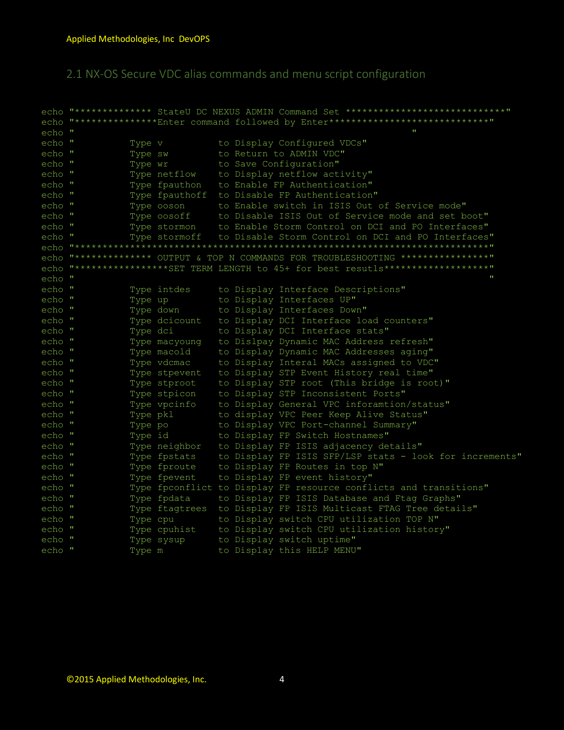<span id="page-4-0"></span>2.1 NX-OS Secure VDC alias commands and menu script configuration

echo "\*\*\*\*\*\*\*\*\*\*\*\*\*\* StateU DC NEXUS ADMIN Command Set \*\*\*\*\*\*\*\*\*\*\*\*\*\*\*\*\*\*\*\*\*\*\*\*\*\*\*\*\*\* echo "\*\*\*\*\*\*\*\*\*\*\*\*\*\*\*Enter command followed by Enter\*\*\*\*\*\*\*\*\*\*\*\*\*\*\*\*\*\*\*\*\*\*\*\*\*\*\*\*\*\* echo " Type v to Display Configured VDCs"<br>
Type sw to Return to ADMIN VDC"<br>
Type wr to Save Configuration"<br>
Type netflow to Display netflow activity"<br>
Type fpauthon to Enable FP Authentication"<br>
Type osson to Enable Storm Control echo " echo " echo "<br>echo "<br>echo " echo " echo " echo " echo " Type stormoff to Disable Storm Control on DCI and PO Interfaces" echo " echo "\*\*\*\*\*\*\*\*\*\*\*\*\*\*\*\*\*\*\*\*\*\*\* echo "\*\*\*\*\*\*\*\*\*\*\*\*\*\* OUTPUT & TOP N COMMANDS FOR TROUBLESHOOTING \*\*\*\*\*\*\*\*\*\*\*\*\*\*\*\*\* echo "\*\*\*\*\*\*\*\*\*\*\*\*\*\*\*\*\*\*SET TERM LENGTH to 45+ for best resutls\*\*\*\*\*\*\*\*\*\*\*\*\*\*\*\*\*\*\*\*\*\* echo "  $\mathbf{u}$ Type intdes<br>Type up<br>Type down to Display Interfaces UP"<br>Type down to Display Interfaces Down"<br>Type dcicount to Display DCI Interface load counters"<br>Type dcicount to Display DCI Interface stats"<br>Type macyoung to Display Dyn Type intdes to Display Interface Descriptions" echo " echo "<br>echo "<br>echo " echo " echo " echo " echo " echo " Type stpevent to Display STP Event History real time" Type stpevent to Display STP Event History real time"<br>Type stproot to Display STP root (This bridge is root)"<br>Type stpicon to Display STP Inconsistent Ports"<br>Type pkl to display VPC Peer Keep Alive Status"<br>Type po to Displ echo " echo " echo " echo " echo " echo " Type nergnoor to Display FP ISIS adjacency details"<br>Type fpstats to Display FP ISIS SFP/LSP stats - look for increments"<br>Type fproute to Display FP Routes in top N"<br>Type fpevent to Display FP event history"<br>Type fpeopflict echo " echo " echo " echo " Type fpconflict to Display FP resource conflicts and transitions" echo " echo " Type fpdata bo Display FP ISIS Database and Ftag Graphs" echo " Type ftagtrees to Display FP ISIS Multicast FTAG Tree details" Type reagences to Display if for Marerease The Tee according to Display switch CPU utilization TOP N''<br>Type cpuhist to Display switch CPU utilization history"<br>Type sysup to Display switch uptime"<br>Type m to Display this HEL echo " echo " echo " echo "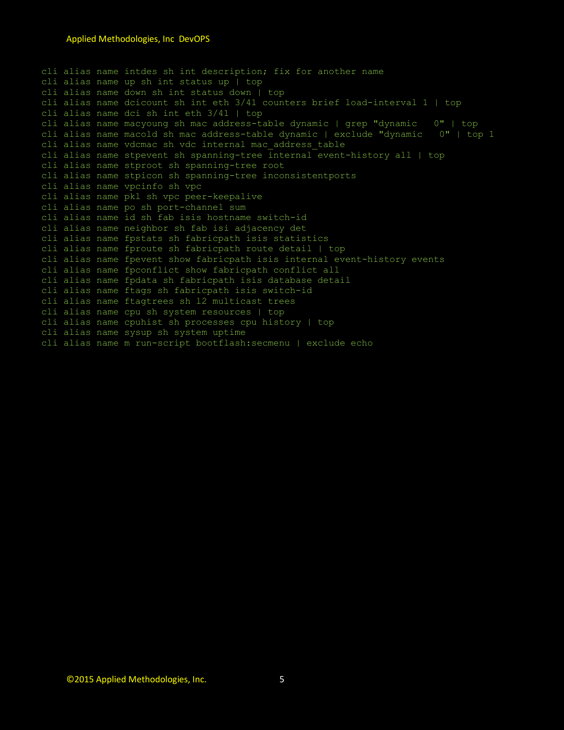cli alias name intdes sh int description; fix for another name cli alias name up sh int status up | top cli alias name down sh int status down | top cli alias name dcicount sh int eth 3/41 counters brief load-interval 1 | top cli alias name dci sh int eth 3/41 | top cli alias name macyoung sh mac address-table dynamic | grep "dynamic 0" | top cli alias name macold sh mac address-table dynamic | exclude "dynamic 0" | top 1 cli alias name vdcmac sh vdc internal mac\_address\_table cli alias name stpevent sh spanning-tree internal event-history all | top cli alias name stproot sh spanning-tree root cli alias name stpicon sh spanning-tree inconsistentports cli alias name vpcinfo sh vpc cli alias name pkl sh vpc peer-keepalive cli alias name po sh port-channel sum cli alias name id sh fab isis hostname switch-id cli alias name neighbor sh fab isi adjacency det cli alias name fpstats sh fabricpath isis statistics cli alias name fproute sh fabricpath route detail | top cli alias name fpevent show fabricpath isis internal event-history events cli alias name fpconflict show fabricpath conflict all cli alias name fpdata sh fabricpath isis database detail cli alias name ftags sh fabricpath isis switch-id cli alias name ftagtrees sh l2 multicast trees cli alias name cpu sh system resources | top cli alias name cpuhist sh processes cpu history | top cli alias name sysup sh system uptime cli alias name m run-script bootflash:secmenu | exclude echo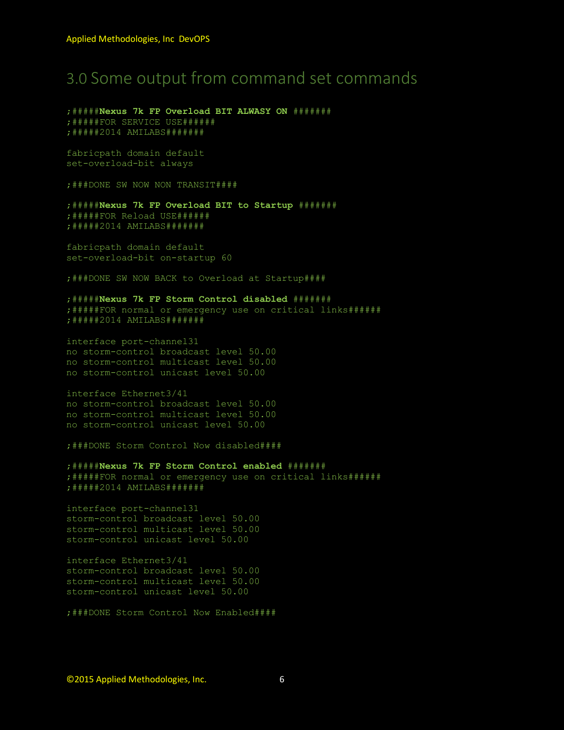# <span id="page-6-0"></span>3.0 Some output from command set commands

;#####**Nexus 7k FP Overload BIT ALWASY ON** ####### ;#####FOR SERVICE USE###### ;#####2014 AMILABS#######

fabricpath domain default set-overload-bit always

;###DONE SW NOW NON TRANSIT####

;#####**Nexus 7k FP Overload BIT to Startup** ####### ;#####FOR Reload USE###### ;#####2014 AMILABS#######

fabricpath domain default set-overload-bit on-startup 60

;###DONE SW NOW BACK to Overload at Startup####

#### ;#####**Nexus 7k FP Storm Control disabled** #######

;#####FOR normal or emergency use on critical links###### ;#####2014 AMILABS#######

interface port-channel31 no storm-control broadcast level 50.00 no storm-control multicast level 50.00 no storm-control unicast level 50.00

#### interface Ethernet3/41 no storm-control broadcast level 50.00 no storm-control multicast level 50.00

no storm-control unicast level 50.00

;###DONE Storm Control Now disabled####

;#####**Nexus 7k FP Storm Control enabled** ####### ;#####FOR normal or emergency use on critical links###### ;#####2014 AMILABS#######

interface port-channel31 storm-control broadcast level 50.00 storm-control multicast level 50.00 storm-control unicast level 50.00

interface Ethernet3/41 storm-control broadcast level 50.00 storm-control multicast level 50.00 storm-control unicast level 50.00

;###DONE Storm Control Now Enabled####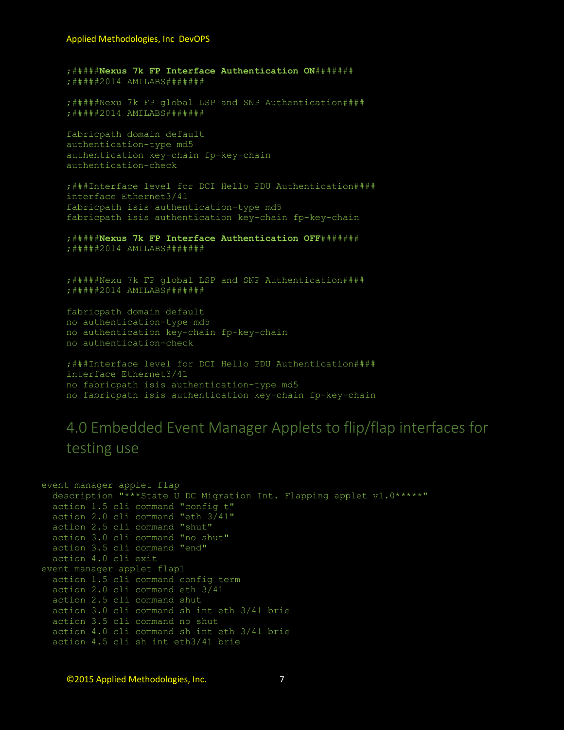;#####Nexus 7k FP Interface Authentication ON######## ; #####2014 AMILABS#######

;#####Nexu 7k FP global LSP and SNP Authentication#### ; #####2014 AMILABS########

fabricpath domain default authentication-type md5 authentication key-chain fp-key-chain authentication-check

;###Interface level for DCI Hello PDU Authentication#### interface Ethernet3/41 fabricpath isis authentication-type md5 fabricpath isis authentication key-chain fp-key-chain

;#####Nexus 7k FP Interface Authentication OFF####### ; #####2014 AMILABS########

;#####Nexu 7k FP global LSP and SNP Authentication#### ; #####2014 AMILABS########

fabricpath domain default no authentication-type md5 no authentication key-chain fp-key-chain no authentication-check

;###Interface level for DCI Hello PDU Authentication#### interface Ethernet3/41 no fabricpath isis authentication-type md5 no fabricpath isis authentication key-chain fp-key-chain

## <span id="page-7-0"></span>4.0 Embedded Event Manager Applets to flip/flap interfaces for testing use

event manager applet flap description "\*\*\*State U DC Migration Int. Flapping applet v1.0\*\*\*\*\*" action 1.5 cli command "config t" action 2.0 cli command "eth 3/41" action 2.5 cli command "shut" action 3.0 cli command "no shut" action 3.5 cli command "end" action 4.0 cli exit event manager applet flap1 action 1.5 cli command config term action 2.0 cli command eth 3/41 action 2.5 cli command shut action 3.0 cli command sh int eth 3/41 brie action 3.5 cli command no shut action 4.0 cli command sh int eth 3/41 brie action 4.5 cli sh int eth3/41 brie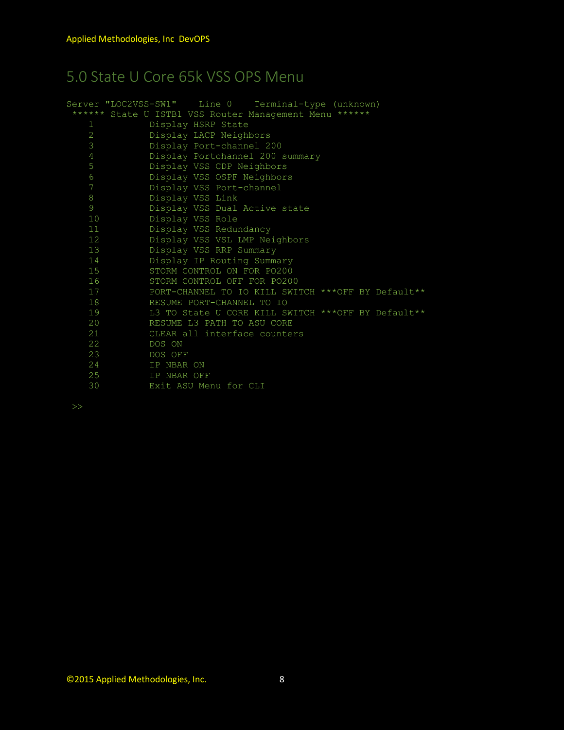# <span id="page-8-0"></span>5.0 State U Core 65k VSS OPS Menu

|    | Server "LOC2VSS-SW1" Line 0 Terminal-type (unknown)    |  |
|----|--------------------------------------------------------|--|
|    | ****** State U ISTB1 VSS Router Management Menu ****** |  |
| 1  | Display HSRP State                                     |  |
| 2  | Display LACP Neighbors                                 |  |
| 3  | Display Port-channel 200                               |  |
| 4  | Display Portchannel 200 summary                        |  |
| 5  | Display VSS CDP Neighbors                              |  |
| 6  | Display VSS OSPF Neighbors                             |  |
| 7  | Display VSS Port-channel                               |  |
| 8  | Display VSS Link                                       |  |
| 9  | Display VSS Dual Active state                          |  |
| 10 | Display VSS Role                                       |  |
| 11 | Display VSS Redundancy                                 |  |
| 12 | Display VSS VSL LMP Neighbors                          |  |
| 13 | Display VSS RRP Summary                                |  |
| 14 | Display IP Routing Summary                             |  |
| 15 | STORM CONTROL ON FOR PO200                             |  |
| 16 | STORM CONTROL OFF FOR PO200                            |  |
| 17 | PORT-CHANNEL TO IO KILL SWITCH ***OFF BY Default**     |  |
| 18 | RESUME PORT-CHANNEL TO IO                              |  |
| 19 | L3 TO State U CORE KILL SWITCH ***OFF BY Default**     |  |
| 20 | RESUME L3 PATH TO ASU CORE                             |  |
| 21 | CLEAR all interface counters                           |  |
| 22 | DOS ON                                                 |  |
| 23 | DOS OFF                                                |  |
| 24 | IP NBAR ON                                             |  |
| 25 | IP NBAR OFF                                            |  |
| 30 | Exit ASU Menu for CLI                                  |  |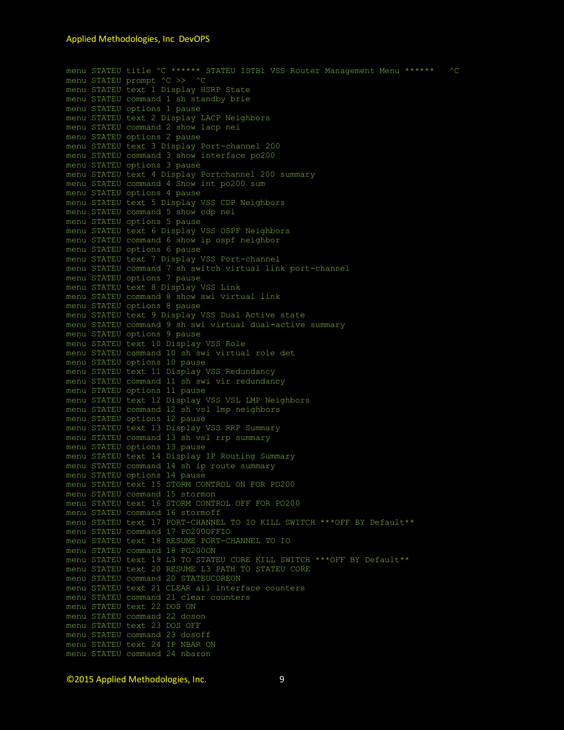#### Applied Methodologies, Inc DevOPS

```
menu STATEU title ^C ****** STATEU ISTB1 VSS Router Management Menu ****** ^C
menu STATEU prompt ^C >> ^C
menu STATEU text 1 Display HSRP State
menu STATEU command 1 sh standby brie
menu STATEU options 1 pause
menu STATEU text 2 Display LACP Neighbors
menu STATEU command 2 show lacp nei
menu STATEU options 2 pause
menu STATEU text 3 Display Port-channel 200
menu STATEU command 3 show interface po200
menu STATEU options 3 pause
menu STATEU text 4 Display Portchannel 200 summary
menu STATEU command 4 Show int po200 sum
menu STATEU options 4 pause
menu STATEU text 5 Display VSS CDP Neighbors
menu STATEU command 5 show cdp nei
menu STATEU options 5 pause
menu STATEU text 6 Display VSS OSPF Neighbors
menu STATEU command 6 show ip ospf neighbor
menu STATEU options 6 pause
menu STATEU text 7 Display VSS Port-channel
menu STATEU command 7 sh switch virtual link port-channel
menu STATEU options 7 pause
menu STATEU text 8 Display VSS Link
menu STATEU command 8 show swi virtual link
menu STATEU options 8 pause
menu STATEU text 9 Display VSS Dual Active state
menu STATEU command 9 sh swi virtual dual-active summary
menu STATEU options 9 pause
menu STATEU text 10 Display VSS Role
menu STATEU command 10 sh swi virtual role det
menu STATEU options 10 pause
menu STATEU text 11 Display VSS Redundancy
menu STATEU command 11 sh swi vir redundancy
menu STATEU options 11 pause
menu STATEU text 12 Display VSS VSL LMP Neighbors
menu STATEU command 12 sh vsl lmp neighbors
menu STATEU options 12 pause
menu STATEU text 13 Display VSS RRP Summary
menu STATEU command 13 sh vsl rrp summary
menu STATEU options 13 pause
menu STATEU text 14 Display IP Routing Summary
menu STATEU command 14 sh ip route summary
menu STATEU options 14 pause
menu STATEU text 15 STORM CONTROL ON FOR PO200
menu STATEU command 15 stormon
menu STATEU text 16 STORM CONTROL OFF FOR PO200
menu STATEU command 16 stormoff
menu STATEU text 17 PORT-CHANNEL TO IO KILL SWITCH ***OFF BY Default**
menu STATEU command 17 PO200OFFIO
menu STATEU text 18 RESUME PORT-CHANNEL TO IO
menu STATEU command 18 PO200ON
menu STATEU text 19 L3 TO STATEU CORE KILL SWITCH ***OFF BY Default**
menu STATEU text 20 RESUME L3 PATH TO STATEU CORE
menu STATEU command 20 STATEUCOREON
menu STATEU text 21 CLEAR all interface counters
menu STATEU command 21 clear counters
menu STATEU text 22 DOS ON
menu STATEU command 22 doson
menu STATEU text 23 DOS OFF
menu STATEU command 23 dosoff
menu STATEU text 24 IP NBAR ON
menu STATEU command 24 nbaron
```
©2015 Applied Methodologies, Inc. 9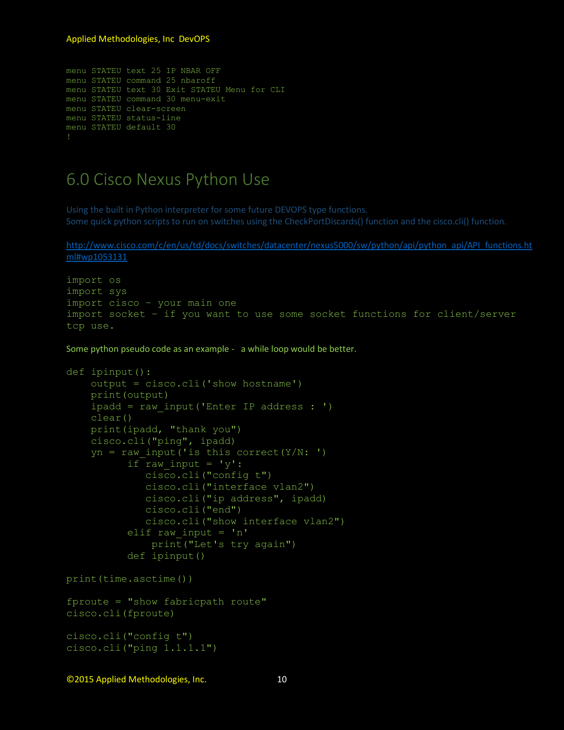#### Applied Methodologies, Inc DevOPS

```
menu STATEU text 25 IP NBAR OFF
menu STATEU command 25 nbaroff
menu STATEU text 30 Exit STATEU Menu for CLI
menu STATEU command 30 menu-exit
menu STATEU clear-screen
menu STATEU status-line
menu STATEU default 30
```
### <span id="page-10-0"></span>6.0 Cisco Nexus Python Use

Using the built in Python interpreter for some future DEVOPS type functions. Some quick python scripts to run on switches using the CheckPortDiscards() function and the cisco.cli() function.

#### [http://www.cisco.com/c/en/us/td/docs/switches/datacenter/nexus5000/sw/python/api/python\\_api/API\\_functions.ht](http://www.cisco.com/c/en/us/td/docs/switches/datacenter/nexus5000/sw/python/api/python_api/API_functions.html#wp1053131) [ml#wp1053131](http://www.cisco.com/c/en/us/td/docs/switches/datacenter/nexus5000/sw/python/api/python_api/API_functions.html#wp1053131)

```
import os
import sys
import cisco – your main one
import socket – if you want to use some socket functions for client/server 
tcp use.
```
Some python pseudo code as an example - a while loop would be better.

```
def ipinput():
    output = cisco.cli('show hostname')
    print(output)
    ipadd = raw_input('Enter IP address : ')
    clear()
    print(ipadd, "thank you")
    cisco.cli("ping", ipadd)
    yn = raw input('is this correct(Y/N: ')if raw input = 'y':cisco.cli("config t")
             cisco.cli("interface vlan2")
             cisco.cli("ip address", ipadd)
             cisco.cli("end")
             cisco.cli("show interface vlan2")
          elif raw input = 'n'print("Let's try again")
          def ipinput()
print(time.asctime())
fproute = "show fabricpath route"
cisco.cli(fproute)
cisco.cli("config t")
cisco.cli("ping 1.1.1.1")
```